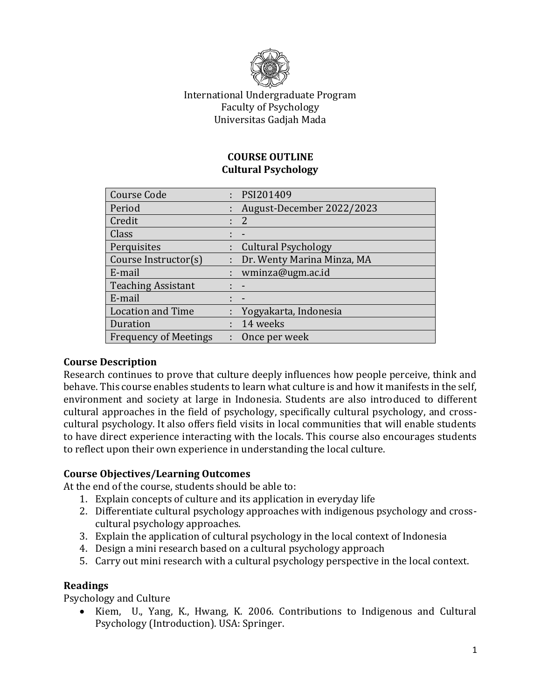

## International Undergraduate Program Faculty of Psychology Universitas Gadjah Mada

#### **COURSE OUTLINE Cultural Psychology**

| <b>Course Code</b>           |    | : PSI201409                |
|------------------------------|----|----------------------------|
| Period                       |    | August-December 2022/2023  |
| Credit                       |    | 2                          |
| Class                        |    |                            |
| Perquisites                  |    | <b>Cultural Psychology</b> |
| Course Instructor(s)         | t. | Dr. Wenty Marina Minza, MA |
| E-mail                       |    | wminza@ugm.ac.id           |
| <b>Teaching Assistant</b>    |    |                            |
| E-mail                       |    | $\blacksquare$             |
| <b>Location and Time</b>     |    | Yogyakarta, Indonesia      |
| Duration                     |    | 14 weeks                   |
| <b>Frequency of Meetings</b> |    | Once per week              |

## **Course Description**

Research continues to prove that culture deeply influences how people perceive, think and behave. This course enables students to learn what culture is and how it manifests in the self, environment and society at large in Indonesia. Students are also introduced to different cultural approaches in the field of psychology, specifically cultural psychology, and crosscultural psychology. It also offers field visits in local communities that will enable students to have direct experience interacting with the locals. This course also encourages students to reflect upon their own experience in understanding the local culture.

#### **Course Objectives/Learning Outcomes**

At the end of the course, students should be able to:

- 1. Explain concepts of culture and its application in everyday life
- 2. Differentiate cultural psychology approaches with indigenous psychology and crosscultural psychology approaches.
- 3. Explain the application of cultural psychology in the local context of Indonesia
- 4. Design a mini research based on a cultural psychology approach
- 5. Carry out mini research with a cultural psychology perspective in the local context.

#### **Readings**

Psychology and Culture

 Kiem, U., Yang, K., Hwang, K. 2006. Contributions to Indigenous and Cultural Psychology (Introduction). USA: Springer.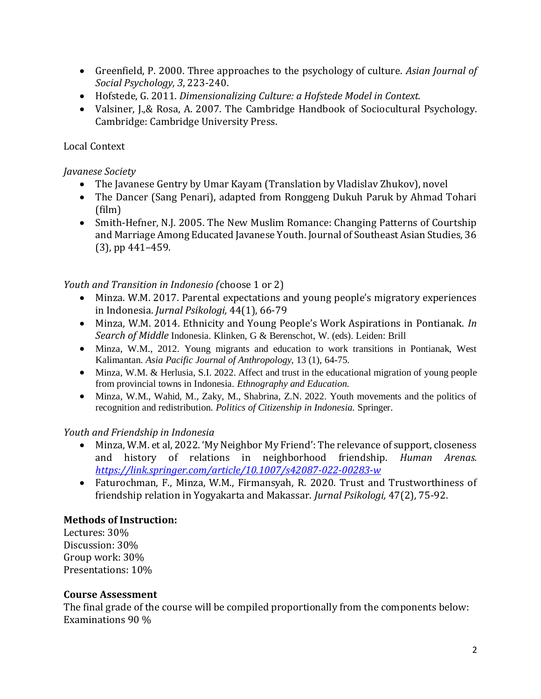- Greenfield, P. 2000. Three approaches to the psychology of culture. *Asian Journal of Social Psychology, 3*, 223-240.
- Hofstede, G. 2011. *Dimensionalizing Culture: a Hofstede Model in Context.*
- Valsiner, J., & Rosa, A. 2007. The Cambridge Handbook of Sociocultural Psychology. Cambridge: Cambridge University Press.

## Local Context

## *Javanese Society*

- The Javanese Gentry by Umar Kayam (Translation by Vladislav Zhukov), novel
- The Dancer (Sang Penari), adapted from Ronggeng Dukuh Paruk by Ahmad Tohari (film)
- Smith-Hefner, N.J. 2005. The New Muslim Romance: Changing Patterns of Courtship and Marriage Among Educated Javanese Youth. Journal of Southeast Asian Studies, 36 (3), pp 441–459.

## *Youth and Transition in Indonesio (*choose 1 or 2)

- Minza. W.M. 2017. Parental expectations and young people's migratory experiences in Indonesia. *Jurnal Psikologi,* 44(1), 66-79
- Minza, W.M. 2014. Ethnicity and Young People's Work Aspirations in Pontianak. *In Search of Middle* Indonesia. Klinken, G & Berenschot, W. (eds). Leiden: Brill
- Minza, W.M., 2012. Young migrants and education to work transitions in Pontianak, West Kalimantan. *Asia Pacific Journal of Anthropology,* 13 (1), 64-75.
- Minza, W.M. & Herlusia, S.I. 2022. Affect and trust in the educational migration of young people from provincial towns in Indonesia. *Ethnography and Education.*
- Minza, W.M., Wahid, M., Zaky, M., Shabrina, Z.N. 2022. Youth movements and the politics of recognition and redistribution. *Politics of Citizenship in Indonesia.* Springer.

## *Youth and Friendship in Indonesia*

- Minza, W.M. et al, 2022. 'My Neighbor My Friend': The relevance of support, closeness and history of relations in neighborhood friendship. *Human Arenas. <https://link.springer.com/article/10.1007/s42087-022-00283-w>*
- Faturochman, F., Minza, W.M., Firmansyah, R. 2020. Trust and Trustworthiness of friendship relation in Yogyakarta and Makassar. *Jurnal Psikologi,* 47(2), 75-92.

## **Methods of Instruction:**

Lectures: 30% Discussion: 30% Group work: 30% Presentations: 10%

## **Course Assessment**

The final grade of the course will be compiled proportionally from the components below: Examinations 90 %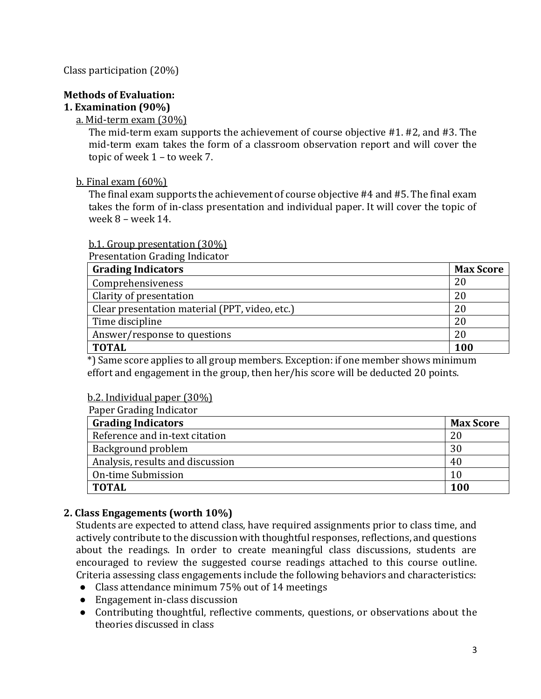Class participation (20%)

# **Methods of Evaluation:**

## **1. Examination (90%)**

#### a. Mid-term exam (30%)

The mid-term exam supports the achievement of course objective #1. #2, and #3. The mid-term exam takes the form of a classroom observation report and will cover the topic of week 1 – to week 7.

#### b. Final exam (60%)

The final exam supports the achievement of course objective #4 and #5. The final exam takes the form of in-class presentation and individual paper. It will cover the topic of week 8 – week 14.

#### b.1. Group presentation (30%)

Presentation Grading Indicator

| <b>Grading Indicators</b>                      |     |  |
|------------------------------------------------|-----|--|
| Comprehensiveness                              |     |  |
| Clarity of presentation                        |     |  |
| Clear presentation material (PPT, video, etc.) |     |  |
| Time discipline                                |     |  |
| Answer/response to questions                   |     |  |
| <b>TOTAL</b>                                   | 100 |  |

\*) Same score applies to all group members. Exception: if one member shows minimum effort and engagement in the group, then her/his score will be deducted 20 points.

#### b.2. Individual paper (30%)

| Paper Grading Indicator          |                  |  |  |
|----------------------------------|------------------|--|--|
| <b>Grading Indicators</b>        | <b>Max Score</b> |  |  |
| Reference and in-text citation   | 20               |  |  |
| Background problem               | 30               |  |  |
| Analysis, results and discussion | 40               |  |  |
| On-time Submission               | 10               |  |  |
| <b>TOTAL</b>                     | 100              |  |  |

## **2. Class Engagements (worth 10%)**

Students are expected to attend class, have required assignments prior to class time, and actively contribute to the discussion with thoughtful responses, reflections, and questions about the readings. In order to create meaningful class discussions, students are encouraged to review the suggested course readings attached to this course outline. Criteria assessing class engagements include the following behaviors and characteristics:

- Class attendance minimum 75% out of 14 meetings
- Engagement in-class discussion
- Contributing thoughtful, reflective comments, questions, or observations about the theories discussed in class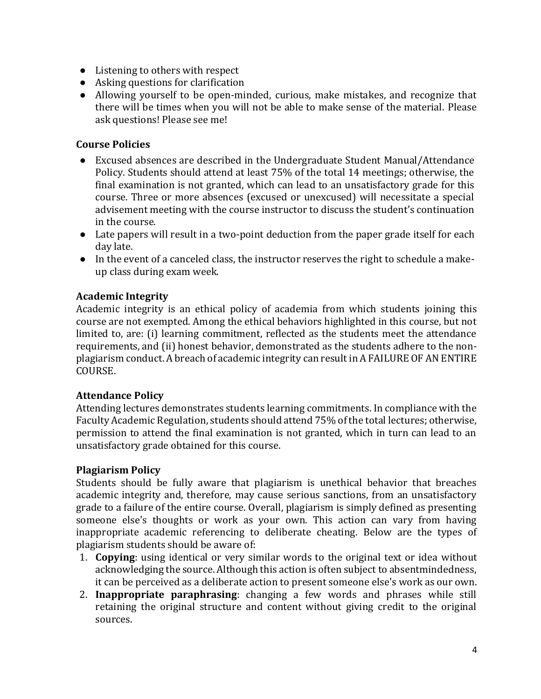- Listening to others with respect
- Asking questions for clarification
- Allowing yourself to be open-minded, curious, make mistakes, and recognize that there will be times when you will not be able to make sense of the material. Please ask questions! Please see me!

#### **Course Policies**

- Excused absences are described in the Undergraduate Student Manual/Attendance Policy. Students should attend at least 75% of the total 14 meetings; otherwise, the final examination is not granted, which can lead to an unsatisfactory grade for this course. Three or more absences (excused or unexcused) will necessitate a special advisement meeting with the course instructor to discuss the student's continuation in the course.
- Late papers will result in a two-point deduction from the paper grade itself for each day late.
- In the event of a canceled class, the instructor reserves the right to schedule a makeup class during exam week.

#### **Academic Integrity**

Academic integrity is an ethical policy of academia from which students joining this course are not exempted. Among the ethical behaviors highlighted in this course, but not limited to, are: (i) learning commitment, reflected as the students meet the attendance requirements, and (ii) honest behavior, demonstrated as the students adhere to the nonplagiarism conduct. A breach of academic integrity can result in A FAILURE OF AN ENTIRE COURSE.

#### **Attendance Policy**

Attending lectures demonstrates students learning commitments. In compliance with the Faculty Academic Regulation, students should attend 75% of the total lectures; otherwise, permission to attend the final examination is not granted, which in turn can lead to an unsatisfactory grade obtained for this course.

#### **Plagiarism Policy**

Students should be fully aware that plagiarism is unethical behavior that breaches academic integrity and, therefore, may cause serious sanctions, from an unsatisfactory grade to a failure of the entire course. Overall, plagiarism is simply defined as presenting someone else's thoughts or work as your own. This action can vary from having inappropriate academic referencing to deliberate cheating. Below are the types of plagiarism students should be aware of:

- 1. **Copying**: using identical or very similar words to the original text or idea without acknowledging the source. Although this action is often subject to absentmindedness, it can be perceived as a deliberate action to present someone else's work as our own.
- 2. **Inappropriate paraphrasing**: changing a few words and phrases while still retaining the original structure and content without giving credit to the original sources.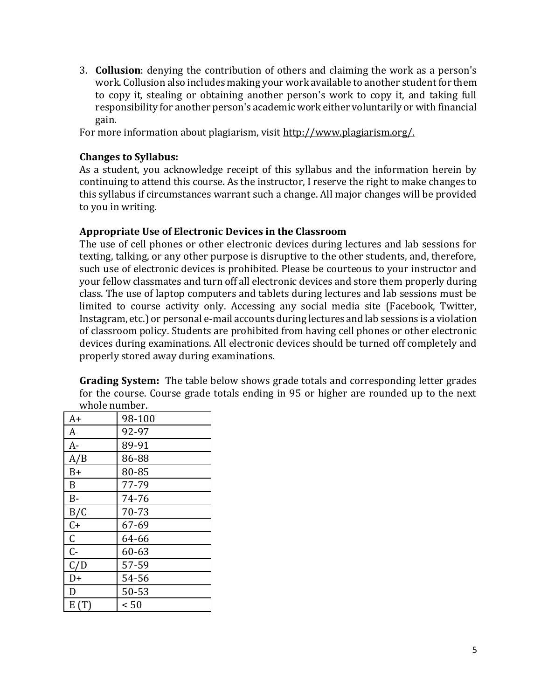3. **Collusion**: denying the contribution of others and claiming the work as a person's work. Collusion also includes making your work available to another student for them to copy it, stealing or obtaining another person's work to copy it, and taking full responsibility for another person's academic work either voluntarily or with financial gain.

For more information about plagiarism, visit [http://www.plagiarism.org/.](http://www.plagiarism.org/)

#### **Changes to Syllabus:**

As a student, you acknowledge receipt of this syllabus and the information herein by continuing to attend this course. As the instructor, I reserve the right to make changes to this syllabus if circumstances warrant such a change. All major changes will be provided to you in writing.

#### **Appropriate Use of Electronic Devices in the Classroom**

The use of cell phones or other electronic devices during lectures and lab sessions for texting, talking, or any other purpose is disruptive to the other students, and, therefore, such use of electronic devices is prohibited. Please be courteous to your instructor and your fellow classmates and turn off all electronic devices and store them properly during class. The use of laptop computers and tablets during lectures and lab sessions must be limited to course activity only. Accessing any social media site (Facebook, Twitter, Instagram, etc.) or personal e-mail accounts during lectures and lab sessions is a violation of classroom policy. Students are prohibited from having cell phones or other electronic devices during examinations. All electronic devices should be turned off completely and properly stored away during examinations.

**Grading System:** The table below shows grade totals and corresponding letter grades for the course. Course grade totals ending in 95 or higher are rounded up to the next whole number.

| A+          | 98-100 |  |  |
|-------------|--------|--|--|
| A           | 92-97  |  |  |
| A-          | 89-91  |  |  |
| A/B         | 86-88  |  |  |
| $B+$        | 80-85  |  |  |
| B           | 77-79  |  |  |
| $B -$       | 74-76  |  |  |
| B/C         | 70-73  |  |  |
| $C +$       | 67-69  |  |  |
| $\mathsf C$ | 64-66  |  |  |
| $C -$       | 60-63  |  |  |
| C/D         | 57-59  |  |  |
| D+          | 54-56  |  |  |
| D           | 50-53  |  |  |
| E(T)        | < 50   |  |  |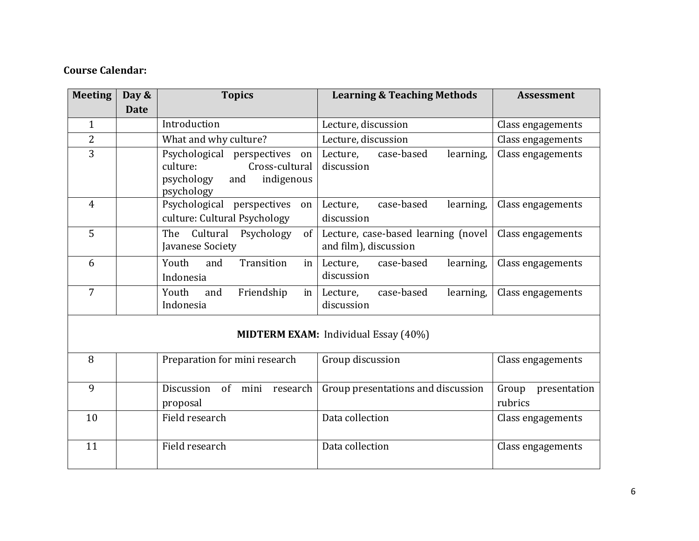## **Course Calendar:**

| <b>Meeting</b>                              | Day &<br><b>Date</b>                          | <b>Topics</b>                                                                                                   | <b>Learning &amp; Teaching Methods</b>                       | <b>Assessment</b>                |  |
|---------------------------------------------|-----------------------------------------------|-----------------------------------------------------------------------------------------------------------------|--------------------------------------------------------------|----------------------------------|--|
| $\mathbf{1}$                                |                                               | Introduction                                                                                                    | Lecture, discussion                                          | Class engagements                |  |
|                                             |                                               |                                                                                                                 |                                                              |                                  |  |
| $\overline{2}$                              |                                               | What and why culture?                                                                                           | Lecture, discussion                                          | Class engagements                |  |
| $\overline{3}$                              |                                               | Psychological perspectives<br>on<br>Cross-cultural<br>culture:<br>psychology<br>indigenous<br>and<br>psychology | Lecture,<br>case-based<br>learning,<br>discussion            | Class engagements                |  |
| $\overline{4}$                              |                                               | Psychological perspectives<br>on<br>culture: Cultural Psychology                                                | case-based<br>learning,<br>Lecture,<br>discussion            | Class engagements                |  |
| 5                                           |                                               | Cultural<br>Psychology<br>The<br>of<br>Javanese Society                                                         | Lecture, case-based learning (novel<br>and film), discussion | Class engagements                |  |
| 6                                           |                                               | Transition<br>Youth<br>and<br>in<br>Indonesia                                                                   | case-based<br>Lecture,<br>learning,<br>discussion            | Class engagements                |  |
| $\overline{7}$                              |                                               | Youth<br>Friendship<br>and<br>in<br>Indonesia                                                                   | case-based<br>Lecture,<br>learning,<br>discussion            | Class engagements                |  |
| <b>MIDTERM EXAM:</b> Individual Essay (40%) |                                               |                                                                                                                 |                                                              |                                  |  |
| 8                                           |                                               | Preparation for mini research                                                                                   | Group discussion                                             | Class engagements                |  |
| 9                                           | Discussion<br>of mini<br>research<br>proposal |                                                                                                                 | Group presentations and discussion                           | Group<br>presentation<br>rubrics |  |
| 10                                          |                                               | Field research                                                                                                  | Data collection                                              | Class engagements                |  |
| 11                                          |                                               | Field research                                                                                                  | Data collection                                              | Class engagements                |  |